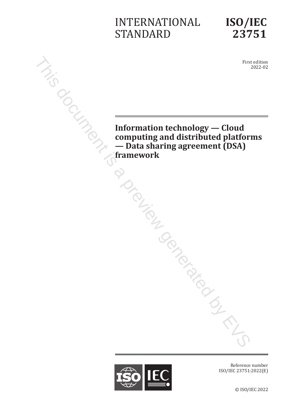## INTERNATIONAL STANDARD



First edition 2022-02

## **Information technology — Cloud computing and distributed platformation — Data sharing agreement (DSA) computing and distributed platforms — Data sharing agreement (DSA) framework**  $\frac{1}{\sqrt{2}}$ <br>  $\frac{1}{\sqrt{2}}$ <br>
Information technology — Cloud<br>  $\frac{1}{\sqrt{2}}$  preview generation<br>  $\frac{1}{\sqrt{2}}$ <br>  $\frac{1}{\sqrt{2}}$ <br>  $\frac{1}{\sqrt{2}}$ <br>  $\frac{1}{\sqrt{2}}$ <br>  $\frac{1}{\sqrt{2}}$



Reference number ISO/IEC 23751:2022(E)

© ISO/IEC 2022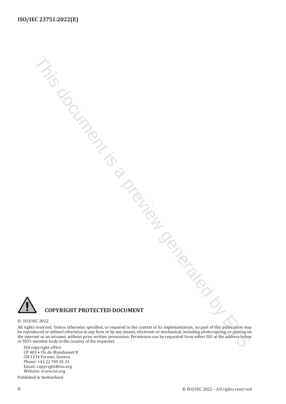

### **COPYRIGHT PROTECTED DOCUMENT**

### © ISO/IEC 2022

All rights reserved. Unless otherwise specified, or required in the context of its implementation, no part of this publication may be reproduced or utilized otherwise in any form or by any means, electronic or mechanical, including photocopying, or posting on the internet or an intranet, without prior written permission. Permission can be requested from either ISO at the address below or ISO's member body in the country of the requester. This document is a preview generated by EVS

ISO copyright office CP 401 • Ch. de Blandonnet 8 CH-1214 Vernier, Geneva Phone: +41 22 749 01 11 Email: copyright@iso.org Website: www.iso.org

Published in Switzerland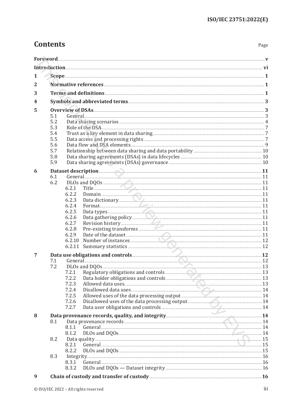### **Contents**

Page

|              |            | Foreword                                                                                                                                                                                                                                |  |
|--------------|------------|-----------------------------------------------------------------------------------------------------------------------------------------------------------------------------------------------------------------------------------------|--|
|              |            |                                                                                                                                                                                                                                         |  |
| 1            |            |                                                                                                                                                                                                                                         |  |
| $\mathbf{2}$ |            |                                                                                                                                                                                                                                         |  |
|              |            |                                                                                                                                                                                                                                         |  |
| 3            |            |                                                                                                                                                                                                                                         |  |
| 4            |            |                                                                                                                                                                                                                                         |  |
| 5            |            |                                                                                                                                                                                                                                         |  |
|              | 5.1        |                                                                                                                                                                                                                                         |  |
|              | 5.2<br>5.3 |                                                                                                                                                                                                                                         |  |
|              | 5.4        |                                                                                                                                                                                                                                         |  |
|              | 5.5        |                                                                                                                                                                                                                                         |  |
|              | 5.6        |                                                                                                                                                                                                                                         |  |
|              | 5.7        |                                                                                                                                                                                                                                         |  |
|              | 5.8        |                                                                                                                                                                                                                                         |  |
|              | 5.9        |                                                                                                                                                                                                                                         |  |
| 6            |            |                                                                                                                                                                                                                                         |  |
|              | 6.1<br>6.2 | General 21 11 22 23 24 25 26 27 28 29 20 21 22 23 24 25 26 27 28 29 20 21 22 23 24 25 26 27 27 28 29 20 21 22                                                                                                                           |  |
|              |            | 6.2.1                                                                                                                                                                                                                                   |  |
|              |            | 6.2.2                                                                                                                                                                                                                                   |  |
|              |            | 6.2.3                                                                                                                                                                                                                                   |  |
|              |            | Format 11<br>6.2.4                                                                                                                                                                                                                      |  |
|              |            | 6.2.5                                                                                                                                                                                                                                   |  |
|              |            | 6.2.6                                                                                                                                                                                                                                   |  |
|              |            | Revision history 21 March 2014 11<br>6.2.7<br>6.2.8                                                                                                                                                                                     |  |
|              |            | Date of the dataset 11 and 200 million and 200 million and 200 million and 21 and 200 million and 21 and 200 million and 200 million and 200 million and 200 million and 200 million and 200 million and 200 million and 200 m<br>6.2.9 |  |
|              |            | 6.2.10                                                                                                                                                                                                                                  |  |
|              |            | Summary statistics 22<br>6.2.11                                                                                                                                                                                                         |  |
| 7            |            | Data use obligations and controls <b>Exercise Activity</b> 22                                                                                                                                                                           |  |
|              | 7.1<br>7.2 |                                                                                                                                                                                                                                         |  |
|              |            |                                                                                                                                                                                                                                         |  |
|              |            | 7.2.1<br>Regulatory obligations and controls <b>Controls</b> 2008 2014 2015 2022 2023 2024 2025 2022 2023                                                                                                                               |  |
|              |            | Data holder obligations and controls 200 million and 200 million 200 million 200 million 200 million 200 million<br>7.2.2                                                                                                               |  |
|              |            | Allowed data uses 13<br>7.2.3<br>Disallowed data uses <b>Manufacture 14</b><br>7.2.4                                                                                                                                                    |  |
|              |            | 7.2.5                                                                                                                                                                                                                                   |  |
|              |            | 7.2.6                                                                                                                                                                                                                                   |  |
|              |            | 7.2.7                                                                                                                                                                                                                                   |  |
| 8            |            | $\sqrt{2}$                                                                                                                                                                                                                              |  |
|              | 8.1        |                                                                                                                                                                                                                                         |  |
|              |            | 8.1.1                                                                                                                                                                                                                                   |  |
|              |            | 8.1.2                                                                                                                                                                                                                                   |  |
|              | 8.2        | 8.2.1                                                                                                                                                                                                                                   |  |
|              |            | 8.2.2                                                                                                                                                                                                                                   |  |
|              | 8.3        |                                                                                                                                                                                                                                         |  |
|              |            | 8.3.1                                                                                                                                                                                                                                   |  |
|              |            | 8.3.2                                                                                                                                                                                                                                   |  |
| 9            |            |                                                                                                                                                                                                                                         |  |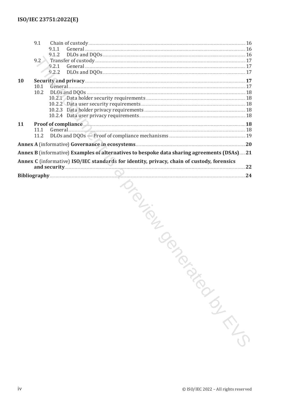| 9.1.1<br>9.1.2<br>9.2<br>9.2.1<br>9.2.2<br><b>10</b><br>10.1<br>10.2<br>Proof of compliance 2 18<br><b>11</b><br>11.1<br>11.2<br>Annex B (informative) Examples of alternatives to bespoke data sharing agreements (DSAs)21<br>Annex C (informative) ISO/IEC standards for identity, privacy, chain of custody, forensics<br>DISCRIPTION |    | 9.1 |                                      |  |
|------------------------------------------------------------------------------------------------------------------------------------------------------------------------------------------------------------------------------------------------------------------------------------------------------------------------------------------|----|-----|--------------------------------------|--|
|                                                                                                                                                                                                                                                                                                                                          |    |     |                                      |  |
|                                                                                                                                                                                                                                                                                                                                          |    |     |                                      |  |
|                                                                                                                                                                                                                                                                                                                                          |    |     |                                      |  |
|                                                                                                                                                                                                                                                                                                                                          |    |     |                                      |  |
|                                                                                                                                                                                                                                                                                                                                          |    |     |                                      |  |
|                                                                                                                                                                                                                                                                                                                                          |    |     |                                      |  |
|                                                                                                                                                                                                                                                                                                                                          |    |     |                                      |  |
|                                                                                                                                                                                                                                                                                                                                          |    |     |                                      |  |
|                                                                                                                                                                                                                                                                                                                                          |    |     |                                      |  |
|                                                                                                                                                                                                                                                                                                                                          |    |     |                                      |  |
|                                                                                                                                                                                                                                                                                                                                          |    |     |                                      |  |
|                                                                                                                                                                                                                                                                                                                                          |    |     |                                      |  |
|                                                                                                                                                                                                                                                                                                                                          |    |     |                                      |  |
|                                                                                                                                                                                                                                                                                                                                          |    |     |                                      |  |
|                                                                                                                                                                                                                                                                                                                                          |    |     |                                      |  |
|                                                                                                                                                                                                                                                                                                                                          |    |     |                                      |  |
|                                                                                                                                                                                                                                                                                                                                          |    |     |                                      |  |
|                                                                                                                                                                                                                                                                                                                                          |    |     |                                      |  |
|                                                                                                                                                                                                                                                                                                                                          |    |     |                                      |  |
|                                                                                                                                                                                                                                                                                                                                          |    |     |                                      |  |
|                                                                                                                                                                                                                                                                                                                                          |    |     |                                      |  |
|                                                                                                                                                                                                                                                                                                                                          | iv |     | © ISO/IEC 2022 - All rights reserved |  |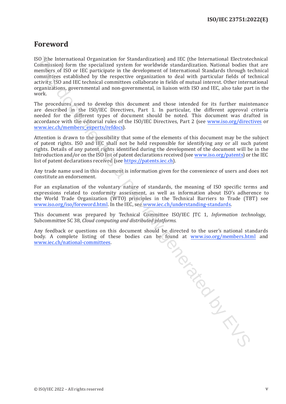### <span id="page-4-0"></span>**Foreword**

ISO (the International Organization for Standardization) and IEC (the International Electrotechnical Commission) form the specialized system for worldwide standardization. National bodies that are members of ISO or IEC participate in the development of International Standards through technical committees established by the respective organization to deal with particular fields of technical activity. ISO and IEC technical committees collaborate in fields of mutual interest. Other international organizations, governmental and non-governmental, in liaison with ISO and IEC, also take part in the work.

The procedures used to develop this document and those intended for its further maintenance are described in the ISO/IEC Directives, Part 1. In particular, the different approval criteria needed for the different types of document should be noted. This document was drafted in accordance with the editorial rules of the ISO/IEC Directives, Part 2 (see www.iso.org/directives or www.iec.ch/members\_experts/refdocs).

Attention is drawn to the possibility that some of the elements of this document may be the subject of patent rights. ISO and IEC shall not be held responsible for identifying any or all such patent rights. Details of any patent rights identified during the development of the document will be in the Introduction and/or on the ISO list of patent declarations received (see www.iso.org/patents) or the IEC list of patent declarations received (see https://patents.iec.ch).

Any trade name used in this document is information given for the convenience of users and does not constitute an endorsement.

For an explanation of the voluntary nature of standards, the meaning of ISO specific terms and expressions related to conformity assessment, as well as information about ISO's adherence to the World Trade Organization (WTO) principles in the Technical Barriers to Trade (TBT) see www.iso.org/iso/foreword.html. In the IEC, see www.iec.ch/understanding-standards.

This document was prepared by Technical Committee ISO/IEC JTC 1, *Information technology,*  Subcommittee SC 38, *Cloud computing and distributed platforms.*

Any feedback or questions on this document should be directed to the user's national standards body. A complete listing of these bodies can be found at www.iso.org/members.html and www.iec.ch/national-committees. To donot is a pr[evi](https://www.iec.ch/understanding-standards)ous con-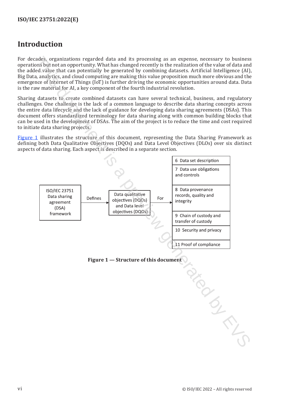### <span id="page-5-0"></span>**Introduction**

For decades, organizations regarded data and its processing as an expense, necessary to business operations but not an opportunity. What has changed recently is the realization of the value of data and the added value that can potentially be generated by combining datasets. Artificial Intelligence (AI), Big Data, analytics, and cloud computing are making this value proposition much more obvious and the emergence of Internet of Things (IoT) is further driving the economic opportunities around data. Data is the raw material for AI, a key component of the fourth industrial revolution.

Sharing datasets to create combined datasets can have several technical, business, and regulatory challenges. One challenge is the lack of a common language to describe data sharing concepts across the entire data lifecycle and the lack of guidance for developing data sharing agreements (DSAs). This document offers standardized terminology for data sharing along with common building blocks that can be used in the development of DSAs. The aim of the project is to reduce the time and cost required to initiate data sharing projects.

[Figure](#page-5-1) 1 illustrates the structure of this document, representing the Data Sharing Framework as defining both Data Qualitative Objectives (DQOs) and Data Level Objectives (DLOs) over six distinct aspects of data sharing. Each aspect is described in a separate section.



<span id="page-5-1"></span>**Figure 1 — Structure of this document**